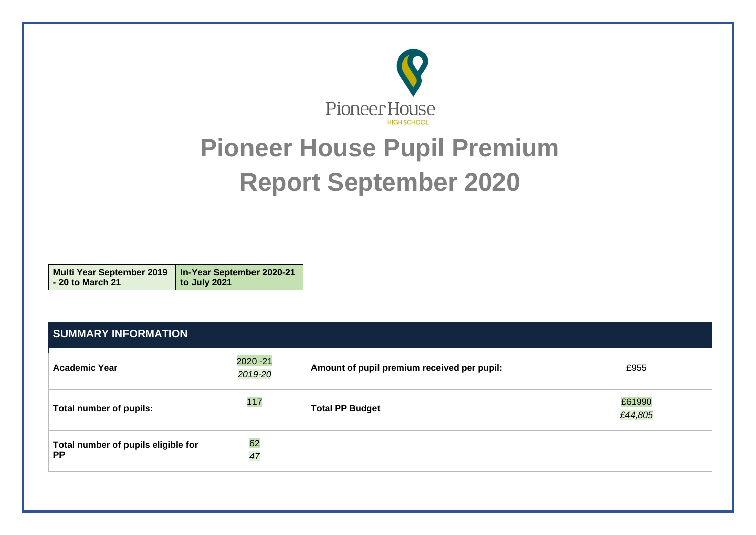

# **Pioneer House Pupil Premium Report September 2020**

**Multi Year September 2019 - 20 to March 21 In-Year September 2020-21 to July 2021**

| <b>SUMMARY INFORMATION</b>                       |                      |                                             |                   |  |  |  |
|--------------------------------------------------|----------------------|---------------------------------------------|-------------------|--|--|--|
| <b>Academic Year</b>                             | 2020 - 21<br>2019-20 | Amount of pupil premium received per pupil: | £955              |  |  |  |
| Total number of pupils:                          | 117                  | <b>Total PP Budget</b>                      | £61990<br>£44,805 |  |  |  |
| Total number of pupils eligible for<br><b>PP</b> | 62<br>47             |                                             |                   |  |  |  |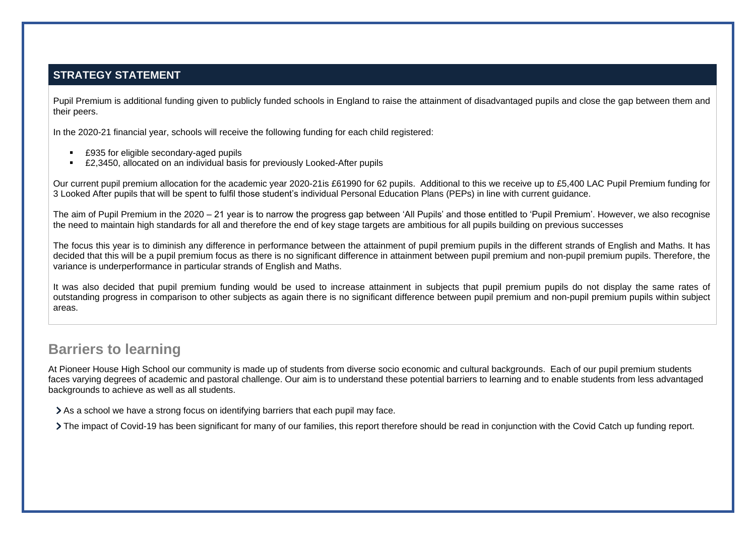#### **STRATEGY STATEMENT**

Pupil Premium is additional funding given to publicly funded schools in England to raise the attainment of disadvantaged pupils and close the gap between them and their peers.

In the 2020-21 financial year, schools will receive the following funding for each child registered:

- £935 for eligible secondary-aged pupils
- **E2,3450, allocated on an individual basis for previously Looked-After pupils**

Our current pupil premium allocation for the academic year 2020-21is £61990 for 62 pupils. Additional to this we receive up to £5,400 LAC Pupil Premium funding for 3 Looked After pupils that will be spent to fulfil those student's individual Personal Education Plans (PEPs) in line with current guidance.

The aim of Pupil Premium in the 2020 – 21 year is to narrow the progress gap between 'All Pupils' and those entitled to 'Pupil Premium'. However, we also recognise the need to maintain high standards for all and therefore the end of key stage targets are ambitious for all pupils building on previous successes

The focus this year is to diminish any difference in performance between the attainment of pupil premium pupils in the different strands of English and Maths. It has decided that this will be a pupil premium focus as there is no significant difference in attainment between pupil premium and non-pupil premium pupils. Therefore, the variance is underperformance in particular strands of English and Maths.

It was also decided that pupil premium funding would be used to increase attainment in subjects that pupil premium pupils do not display the same rates of outstanding progress in comparison to other subjects as again there is no significant difference between pupil premium and non-pupil premium pupils within subject areas.

### **Barriers to learning**

At Pioneer House High School our community is made up of students from diverse socio economic and cultural backgrounds. Each of our pupil premium students faces varying degrees of academic and pastoral challenge. Our aim is to understand these potential barriers to learning and to enable students from less advantaged backgrounds to achieve as well as all students.

As a school we have a strong focus on identifying barriers that each pupil may face.

The impact of Covid-19 has been significant for many of our families, this report therefore should be read in conjunction with the Covid Catch up funding report.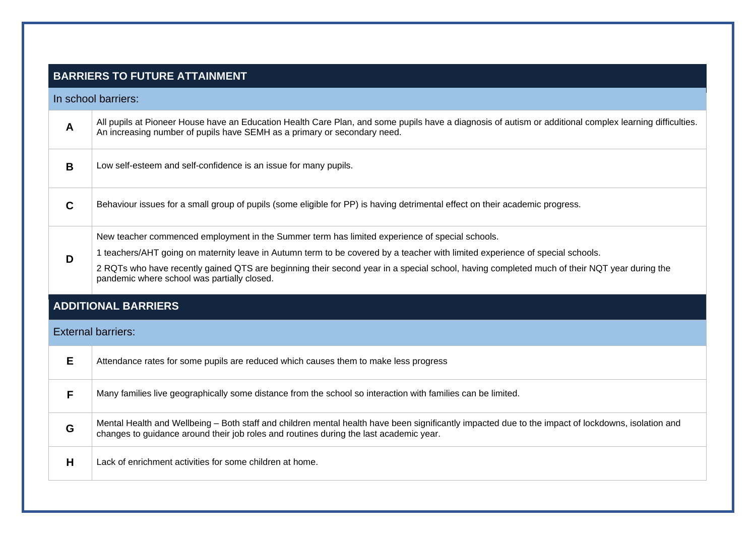|             | <b>BARRIERS TO FUTURE ATTAINMENT</b>                                                                                                                                                                                                         |
|-------------|----------------------------------------------------------------------------------------------------------------------------------------------------------------------------------------------------------------------------------------------|
|             | In school barriers:                                                                                                                                                                                                                          |
| A           | All pupils at Pioneer House have an Education Health Care Plan, and some pupils have a diagnosis of autism or additional complex learning difficulties.<br>An increasing number of pupils have SEMH as a primary or secondary need.          |
| B           | Low self-esteem and self-confidence is an issue for many pupils.                                                                                                                                                                             |
| $\mathbf C$ | Behaviour issues for a small group of pupils (some eligible for PP) is having detrimental effect on their academic progress.                                                                                                                 |
|             | New teacher commenced employment in the Summer term has limited experience of special schools.                                                                                                                                               |
| D           | 1 teachers/AHT going on maternity leave in Autumn term to be covered by a teacher with limited experience of special schools.                                                                                                                |
|             | 2 RQTs who have recently gained QTS are beginning their second year in a special school, having completed much of their NQT year during the<br>pandemic where school was partially closed.                                                   |
|             | <b>ADDITIONAL BARRIERS</b>                                                                                                                                                                                                                   |
|             | <b>External barriers:</b>                                                                                                                                                                                                                    |
| E           | Attendance rates for some pupils are reduced which causes them to make less progress                                                                                                                                                         |
| F           | Many families live geographically some distance from the school so interaction with families can be limited.                                                                                                                                 |
| G           | Mental Health and Wellbeing - Both staff and children mental health have been significantly impacted due to the impact of lockdowns, isolation and<br>changes to guidance around their job roles and routines during the last academic year. |
| H           | Lack of enrichment activities for some children at home.                                                                                                                                                                                     |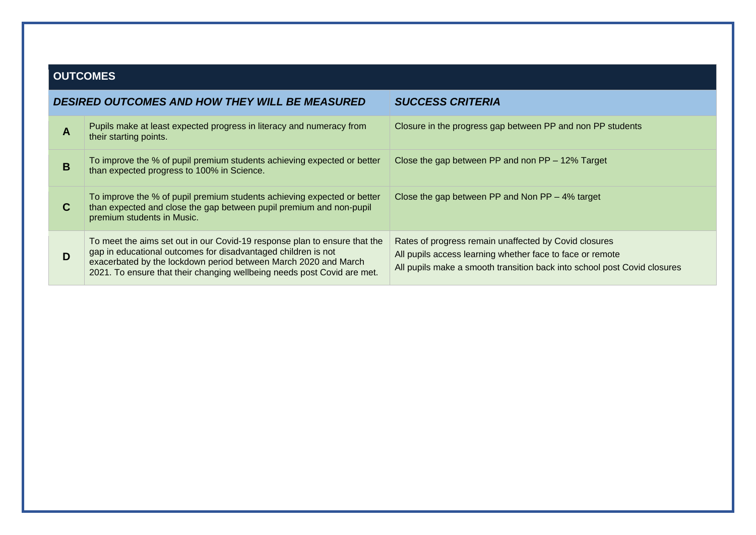### **OUTCOMES**

|             | <b>DESIRED OUTCOMES AND HOW THEY WILL BE MEASURED</b>                                                                                                                                                                                                                                    | <b>SUCCESS CRITERIA</b>                                                                                                                                                                        |
|-------------|------------------------------------------------------------------------------------------------------------------------------------------------------------------------------------------------------------------------------------------------------------------------------------------|------------------------------------------------------------------------------------------------------------------------------------------------------------------------------------------------|
| A           | Pupils make at least expected progress in literacy and numeracy from<br>their starting points.                                                                                                                                                                                           | Closure in the progress gap between PP and non PP students                                                                                                                                     |
| B           | To improve the % of pupil premium students achieving expected or better<br>than expected progress to 100% in Science.                                                                                                                                                                    | Close the gap between PP and non $PP - 12\%$ Target                                                                                                                                            |
| $\mathbf C$ | To improve the % of pupil premium students achieving expected or better<br>than expected and close the gap between pupil premium and non-pupil<br>premium students in Music.                                                                                                             | Close the gap between PP and Non $PP - 4\%$ target                                                                                                                                             |
| D           | To meet the aims set out in our Covid-19 response plan to ensure that the<br>gap in educational outcomes for disadvantaged children is not<br>exacerbated by the lockdown period between March 2020 and March<br>2021. To ensure that their changing wellbeing needs post Covid are met. | Rates of progress remain unaffected by Covid closures<br>All pupils access learning whether face to face or remote<br>All pupils make a smooth transition back into school post Covid closures |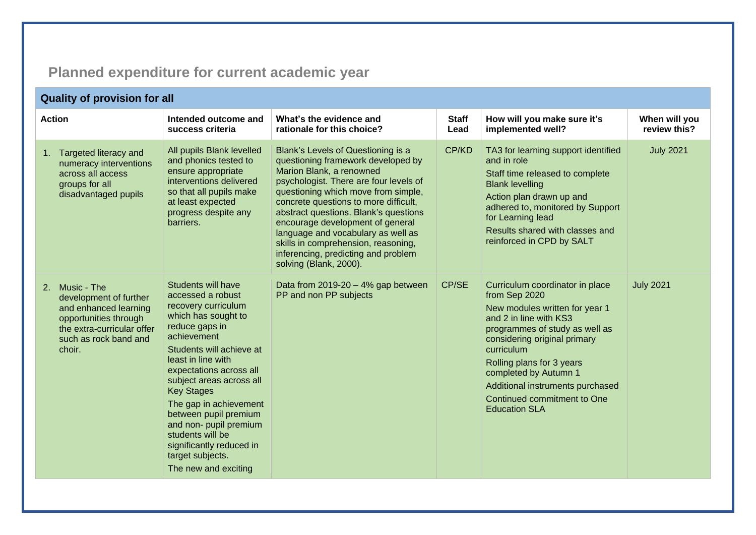## **Planned expenditure for current academic year**

| <b>Quality of provision for all</b>                                                                                                                         |                                                                                                                                                                                                                                                                                                                                                                                                                                      |                                                                                                                                                                                                                                                                                                                                                                                                                                                           |                      |                                                                                                                                                                                                                                                                                                                                               |                               |  |  |
|-------------------------------------------------------------------------------------------------------------------------------------------------------------|--------------------------------------------------------------------------------------------------------------------------------------------------------------------------------------------------------------------------------------------------------------------------------------------------------------------------------------------------------------------------------------------------------------------------------------|-----------------------------------------------------------------------------------------------------------------------------------------------------------------------------------------------------------------------------------------------------------------------------------------------------------------------------------------------------------------------------------------------------------------------------------------------------------|----------------------|-----------------------------------------------------------------------------------------------------------------------------------------------------------------------------------------------------------------------------------------------------------------------------------------------------------------------------------------------|-------------------------------|--|--|
| <b>Action</b>                                                                                                                                               | Intended outcome and<br>success criteria                                                                                                                                                                                                                                                                                                                                                                                             | What's the evidence and<br>rationale for this choice?                                                                                                                                                                                                                                                                                                                                                                                                     | <b>Staff</b><br>Lead | How will you make sure it's<br>implemented well?                                                                                                                                                                                                                                                                                              | When will you<br>review this? |  |  |
| Targeted literacy and<br>1.<br>numeracy interventions<br>across all access<br>groups for all<br>disadvantaged pupils                                        | All pupils Blank levelled<br>and phonics tested to<br>ensure appropriate<br>interventions delivered<br>so that all pupils make<br>at least expected<br>progress despite any<br>barriers.                                                                                                                                                                                                                                             | Blank's Levels of Questioning is a<br>questioning framework developed by<br>Marion Blank, a renowned<br>psychologist. There are four levels of<br>questioning which move from simple,<br>concrete questions to more difficult,<br>abstract questions. Blank's questions<br>encourage development of general<br>language and vocabulary as well as<br>skills in comprehension, reasoning,<br>inferencing, predicting and problem<br>solving (Blank, 2000). | CP/KD                | TA3 for learning support identified<br>and in role<br>Staff time released to complete<br><b>Blank levelling</b><br>Action plan drawn up and<br>adhered to, monitored by Support<br>for Learning lead<br>Results shared with classes and<br>reinforced in CPD by SALT                                                                          | <b>July 2021</b>              |  |  |
| 2. Music - The<br>development of further<br>and enhanced learning<br>opportunities through<br>the extra-curricular offer<br>such as rock band and<br>choir. | <b>Students will have</b><br>accessed a robust<br>recovery curriculum<br>which has sought to<br>reduce gaps in<br>achievement<br>Students will achieve at<br>least in line with<br>expectations across all<br>subject areas across all<br><b>Key Stages</b><br>The gap in achievement<br>between pupil premium<br>and non- pupil premium<br>students will be<br>significantly reduced in<br>target subjects.<br>The new and exciting | Data from $2019-20 - 4%$ gap between<br>PP and non PP subjects                                                                                                                                                                                                                                                                                                                                                                                            | CP/SE                | Curriculum coordinator in place<br>from Sep 2020<br>New modules written for year 1<br>and 2 in line with KS3<br>programmes of study as well as<br>considering original primary<br>curriculum<br>Rolling plans for 3 years<br>completed by Autumn 1<br>Additional instruments purchased<br>Continued commitment to One<br><b>Education SLA</b> | <b>July 2021</b>              |  |  |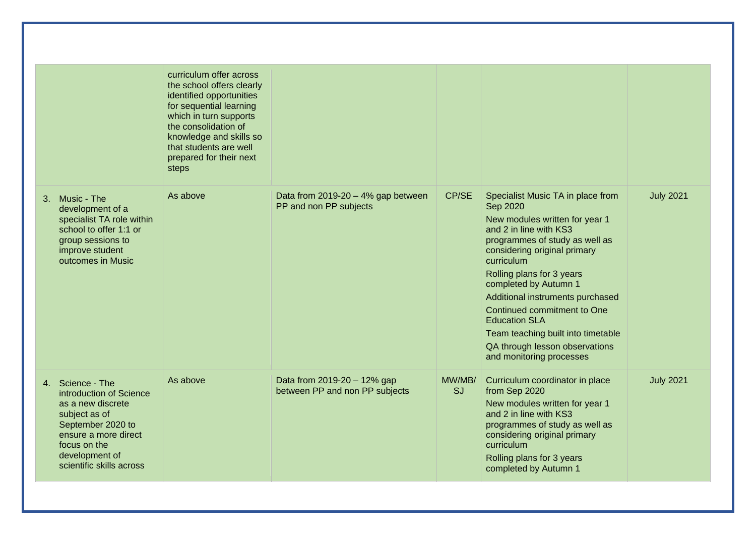|                                                                                                                                                                                              | curriculum offer across<br>the school offers clearly<br>identified opportunities<br>for sequential learning<br>which in turn supports<br>the consolidation of<br>knowledge and skills so<br>that students are well<br>prepared for their next<br>steps |                                                                |                     |                                                                                                                                                                                                                                                                                                                                                                                                                                                |                  |
|----------------------------------------------------------------------------------------------------------------------------------------------------------------------------------------------|--------------------------------------------------------------------------------------------------------------------------------------------------------------------------------------------------------------------------------------------------------|----------------------------------------------------------------|---------------------|------------------------------------------------------------------------------------------------------------------------------------------------------------------------------------------------------------------------------------------------------------------------------------------------------------------------------------------------------------------------------------------------------------------------------------------------|------------------|
| Music - The<br>3.<br>development of a<br>specialist TA role within<br>school to offer 1:1 or<br>group sessions to<br>improve student<br>outcomes in Music                                    | As above                                                                                                                                                                                                                                               | Data from $2019-20 - 4%$ gap between<br>PP and non PP subjects | CP/SE               | Specialist Music TA in place from<br>Sep 2020<br>New modules written for year 1<br>and 2 in line with KS3<br>programmes of study as well as<br>considering original primary<br>curriculum<br>Rolling plans for 3 years<br>completed by Autumn 1<br>Additional instruments purchased<br>Continued commitment to One<br><b>Education SLA</b><br>Team teaching built into timetable<br>QA through lesson observations<br>and monitoring processes | <b>July 2021</b> |
| 4. Science - The<br>introduction of Science<br>as a new discrete<br>subject as of<br>September 2020 to<br>ensure a more direct<br>focus on the<br>development of<br>scientific skills across | As above                                                                                                                                                                                                                                               | Data from 2019-20 - 12% gap<br>between PP and non PP subjects  | MW/MB/<br><b>SJ</b> | Curriculum coordinator in place<br>from Sep 2020<br>New modules written for year 1<br>and 2 in line with KS3<br>programmes of study as well as<br>considering original primary<br>curriculum<br>Rolling plans for 3 years<br>completed by Autumn 1                                                                                                                                                                                             | <b>July 2021</b> |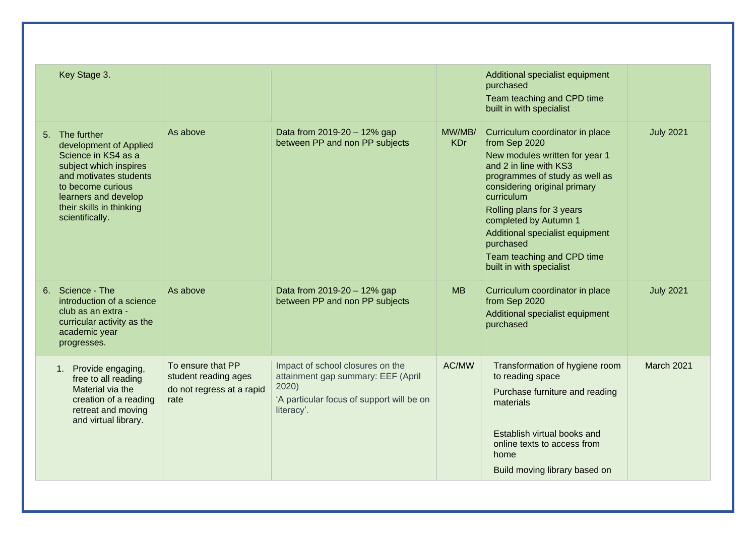| Key Stage 3.                                                                                                                                                                                                    |                                                                                |                                                                                                                                            |                      | Additional specialist equipment<br>purchased<br>Team teaching and CPD time<br>built in with specialist                                                                                                                                                                                                                                                       |                  |
|-----------------------------------------------------------------------------------------------------------------------------------------------------------------------------------------------------------------|--------------------------------------------------------------------------------|--------------------------------------------------------------------------------------------------------------------------------------------|----------------------|--------------------------------------------------------------------------------------------------------------------------------------------------------------------------------------------------------------------------------------------------------------------------------------------------------------------------------------------------------------|------------------|
| 5. The further<br>development of Applied<br>Science in KS4 as a<br>subject which inspires<br>and motivates students<br>to become curious<br>learners and develop<br>their skills in thinking<br>scientifically. | As above                                                                       | Data from 2019-20 - 12% gap<br>between PP and non PP subjects                                                                              | MW/MB/<br><b>KDr</b> | Curriculum coordinator in place<br>from Sep 2020<br>New modules written for year 1<br>and 2 in line with KS3<br>programmes of study as well as<br>considering original primary<br>curriculum<br>Rolling plans for 3 years<br>completed by Autumn 1<br>Additional specialist equipment<br>purchased<br>Team teaching and CPD time<br>built in with specialist | <b>July 2021</b> |
| 6. Science - The<br>introduction of a science<br>club as an extra -<br>curricular activity as the<br>academic year<br>progresses.                                                                               | As above                                                                       | Data from 2019-20 - 12% gap<br>between PP and non PP subjects                                                                              | <b>MB</b>            | Curriculum coordinator in place<br>from Sep 2020<br>Additional specialist equipment<br>purchased                                                                                                                                                                                                                                                             | <b>July 2021</b> |
| Provide engaging,<br>1 <sub>1</sub><br>free to all reading<br>Material via the<br>creation of a reading<br>retreat and moving<br>and virtual library.                                                           | To ensure that PP<br>student reading ages<br>do not regress at a rapid<br>rate | Impact of school closures on the<br>attainment gap summary: EEF (April<br>2020)<br>'A particular focus of support will be on<br>literacy'. | AC/MW                | Transformation of hygiene room<br>to reading space<br>Purchase furniture and reading<br>materials<br>Establish virtual books and<br>online texts to access from<br>home<br>Build moving library based on                                                                                                                                                     | March 2021       |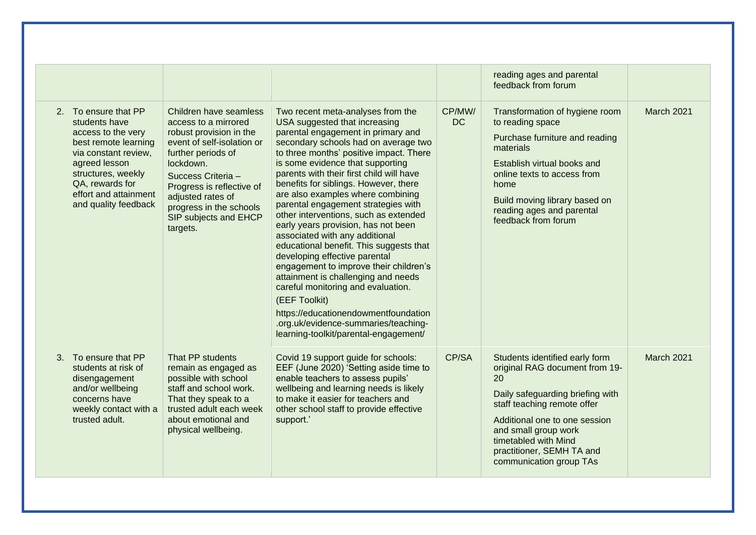|                                                        |                                                                                                                                                              |                                                                                                                                                                                                                                                                                    |                                                                                                                                                                                                                                                                                                                                                                                                                                                                                                                                                                                                                                                                                                                                                                                                                                                                 |                     | reading ages and parental<br>feedback from forum                                                                                                                                                                                                                                   |                   |
|--------------------------------------------------------|--------------------------------------------------------------------------------------------------------------------------------------------------------------|------------------------------------------------------------------------------------------------------------------------------------------------------------------------------------------------------------------------------------------------------------------------------------|-----------------------------------------------------------------------------------------------------------------------------------------------------------------------------------------------------------------------------------------------------------------------------------------------------------------------------------------------------------------------------------------------------------------------------------------------------------------------------------------------------------------------------------------------------------------------------------------------------------------------------------------------------------------------------------------------------------------------------------------------------------------------------------------------------------------------------------------------------------------|---------------------|------------------------------------------------------------------------------------------------------------------------------------------------------------------------------------------------------------------------------------------------------------------------------------|-------------------|
| 2. To ensure that PP<br>students have<br>agreed lesson | access to the very<br>best remote learning<br>via constant review,<br>structures, weekly<br>QA, rewards for<br>effort and attainment<br>and quality feedback | Children have seamless<br>access to a mirrored<br>robust provision in the<br>event of self-isolation or<br>further periods of<br>lockdown.<br>Success Criteria -<br>Progress is reflective of<br>adjusted rates of<br>progress in the schools<br>SIP subjects and EHCP<br>targets. | Two recent meta-analyses from the<br>USA suggested that increasing<br>parental engagement in primary and<br>secondary schools had on average two<br>to three months' positive impact. There<br>is some evidence that supporting<br>parents with their first child will have<br>benefits for siblings. However, there<br>are also examples where combining<br>parental engagement strategies with<br>other interventions, such as extended<br>early years provision, has not been<br>associated with any additional<br>educational benefit. This suggests that<br>developing effective parental<br>engagement to improve their children's<br>attainment is challenging and needs<br>careful monitoring and evaluation.<br>(EEF Toolkit)<br>https://educationendowmentfoundation<br>.org.uk/evidence-summaries/teaching-<br>learning-toolkit/parental-engagement/ | CP/MW/<br><b>DC</b> | Transformation of hygiene room<br>to reading space<br>Purchase furniture and reading<br>materials<br>Establish virtual books and<br>online texts to access from<br>home<br>Build moving library based on<br>reading ages and parental<br>feedback from forum                       | <b>March 2021</b> |
| 3. To ensure that PP<br>trusted adult.                 | students at risk of<br>disengagement<br>and/or wellbeing<br>concerns have<br>weekly contact with a                                                           | That PP students<br>remain as engaged as<br>possible with school<br>staff and school work.<br>That they speak to a<br>trusted adult each week<br>about emotional and<br>physical wellbeing.                                                                                        | Covid 19 support guide for schools:<br>EEF (June 2020) 'Setting aside time to<br>enable teachers to assess pupils'<br>wellbeing and learning needs is likely<br>to make it easier for teachers and<br>other school staff to provide effective<br>support.'                                                                                                                                                                                                                                                                                                                                                                                                                                                                                                                                                                                                      | CP/SA               | Students identified early form<br>original RAG document from 19-<br>20<br>Daily safeguarding briefing with<br>staff teaching remote offer<br>Additional one to one session<br>and small group work<br>timetabled with Mind<br>practitioner, SEMH TA and<br>communication group TAs | <b>March 2021</b> |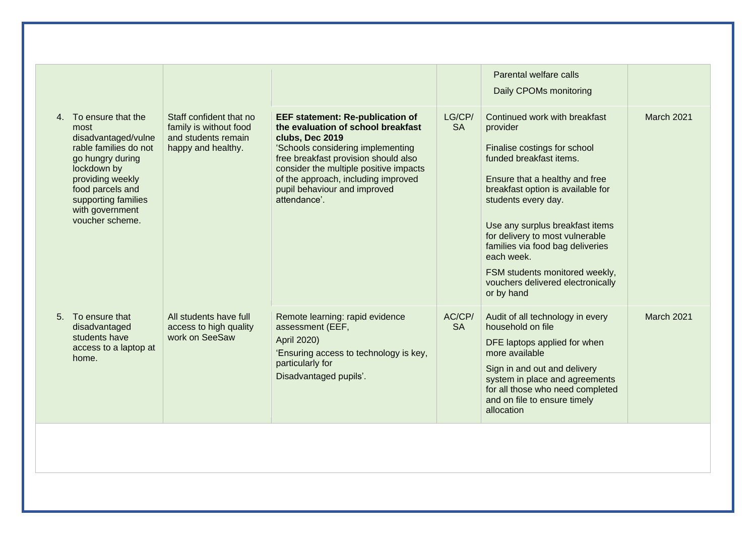| LG/CP/<br>4. To ensure that the<br>Staff confident that no<br><b>EEF statement: Re-publication of</b><br>Continued work with breakfast<br>the evaluation of school breakfast<br>family is without food<br><b>SA</b><br>most<br>provider<br>disadvantaged/vulne<br>and students remain<br>clubs, Dec 2019<br>'Schools considering implementing<br>rable families do not<br>happy and healthy.<br>Finalise costings for school<br>free breakfast provision should also<br>funded breakfast items.<br>go hungry during<br>consider the multiple positive impacts<br>lockdown by<br>of the approach, including improved<br>providing weekly<br>Ensure that a healthy and free<br>pupil behaviour and improved<br>food parcels and<br>breakfast option is available for<br>attendance'.<br>students every day.<br>supporting families<br>with government<br>voucher scheme. |  |  | Parental welfare calls<br>Daily CPOMs monitoring |                   |
|------------------------------------------------------------------------------------------------------------------------------------------------------------------------------------------------------------------------------------------------------------------------------------------------------------------------------------------------------------------------------------------------------------------------------------------------------------------------------------------------------------------------------------------------------------------------------------------------------------------------------------------------------------------------------------------------------------------------------------------------------------------------------------------------------------------------------------------------------------------------|--|--|--------------------------------------------------|-------------------|
| for delivery to most vulnerable<br>families via food bag deliveries<br>each week.<br>FSM students monitored weekly,<br>vouchers delivered electronically<br>or by hand                                                                                                                                                                                                                                                                                                                                                                                                                                                                                                                                                                                                                                                                                                 |  |  | Use any surplus breakfast items                  | <b>March 2021</b> |
| All students have full<br>Remote learning: rapid evidence<br>AC/CP/<br>5. To ensure that<br>Audit of all technology in every<br>household on file<br><b>SA</b><br>access to high quality<br>assessment (EEF,<br>disadvantaged<br>students have<br>work on SeeSaw<br>April 2020)<br>DFE laptops applied for when<br>access to a laptop at<br>'Ensuring access to technology is key,<br>more available<br>home.<br>particularly for<br>Sign in and out and delivery<br>Disadvantaged pupils'.<br>system in place and agreements<br>for all those who need completed<br>and on file to ensure timely<br>allocation                                                                                                                                                                                                                                                        |  |  |                                                  | <b>March 2021</b> |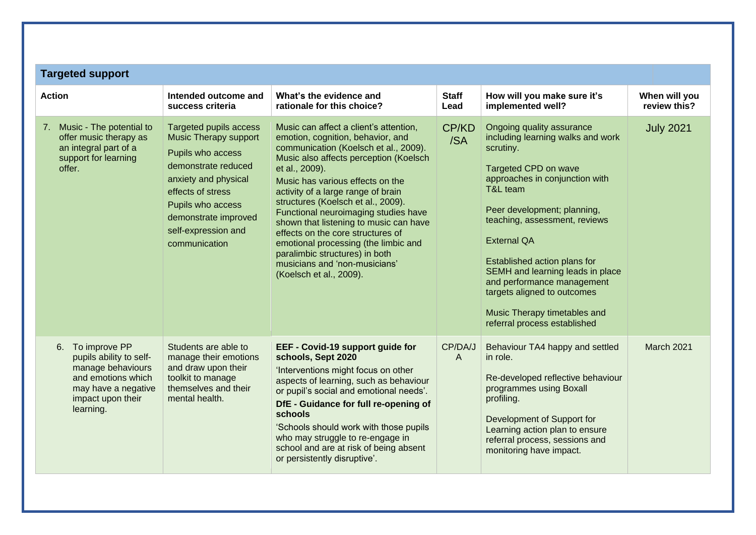| <b>Targeted support</b>                                                                                                                         |                                                                                                                                                                                                                                             |                                                                                                                                                                                                                                                                                                                                                                                                                                                                                                                                                               |                      |                                                                                                                                                                                                                                                                                                                                                                                                                                          |                               |
|-------------------------------------------------------------------------------------------------------------------------------------------------|---------------------------------------------------------------------------------------------------------------------------------------------------------------------------------------------------------------------------------------------|---------------------------------------------------------------------------------------------------------------------------------------------------------------------------------------------------------------------------------------------------------------------------------------------------------------------------------------------------------------------------------------------------------------------------------------------------------------------------------------------------------------------------------------------------------------|----------------------|------------------------------------------------------------------------------------------------------------------------------------------------------------------------------------------------------------------------------------------------------------------------------------------------------------------------------------------------------------------------------------------------------------------------------------------|-------------------------------|
| <b>Action</b>                                                                                                                                   | Intended outcome and<br>success criteria                                                                                                                                                                                                    | What's the evidence and<br>rationale for this choice?                                                                                                                                                                                                                                                                                                                                                                                                                                                                                                         | <b>Staff</b><br>Lead | How will you make sure it's<br>implemented well?                                                                                                                                                                                                                                                                                                                                                                                         | When will you<br>review this? |
| Music - The potential to<br>7.<br>offer music therapy as<br>an integral part of a<br>support for learning<br>offer.                             | <b>Targeted pupils access</b><br><b>Music Therapy support</b><br>Pupils who access<br>demonstrate reduced<br>anxiety and physical<br>effects of stress<br>Pupils who access<br>demonstrate improved<br>self-expression and<br>communication | Music can affect a client's attention,<br>emotion, cognition, behavior, and<br>communication (Koelsch et al., 2009).<br>Music also affects perception (Koelsch<br>et al., 2009).<br>Music has various effects on the<br>activity of a large range of brain<br>structures (Koelsch et al., 2009).<br>Functional neuroimaging studies have<br>shown that listening to music can have<br>effects on the core structures of<br>emotional processing (the limbic and<br>paralimbic structures) in both<br>musicians and 'non-musicians'<br>(Koelsch et al., 2009). | CP/KD<br>/SA         | Ongoing quality assurance<br>including learning walks and work<br>scrutiny.<br>Targeted CPD on wave<br>approaches in conjunction with<br>T&L team<br>Peer development; planning,<br>teaching, assessment, reviews<br><b>External QA</b><br>Established action plans for<br>SEMH and learning leads in place<br>and performance management<br>targets aligned to outcomes<br>Music Therapy timetables and<br>referral process established | <b>July 2021</b>              |
| 6. To improve PP<br>pupils ability to self-<br>manage behaviours<br>and emotions which<br>may have a negative<br>impact upon their<br>learning. | Students are able to<br>manage their emotions<br>and draw upon their<br>toolkit to manage<br>themselves and their<br>mental health.                                                                                                         | EEF - Covid-19 support guide for<br>schools, Sept 2020<br>'Interventions might focus on other<br>aspects of learning, such as behaviour<br>or pupil's social and emotional needs'.<br>DfE - Guidance for full re-opening of<br>schools<br>'Schools should work with those pupils<br>who may struggle to re-engage in<br>school and are at risk of being absent<br>or persistently disruptive'.                                                                                                                                                                | CP/DA/J<br>A         | Behaviour TA4 happy and settled<br>in role.<br>Re-developed reflective behaviour<br>programmes using Boxall<br>profiling.<br>Development of Support for<br>Learning action plan to ensure<br>referral process, sessions and<br>monitoring have impact.                                                                                                                                                                                   | March 2021                    |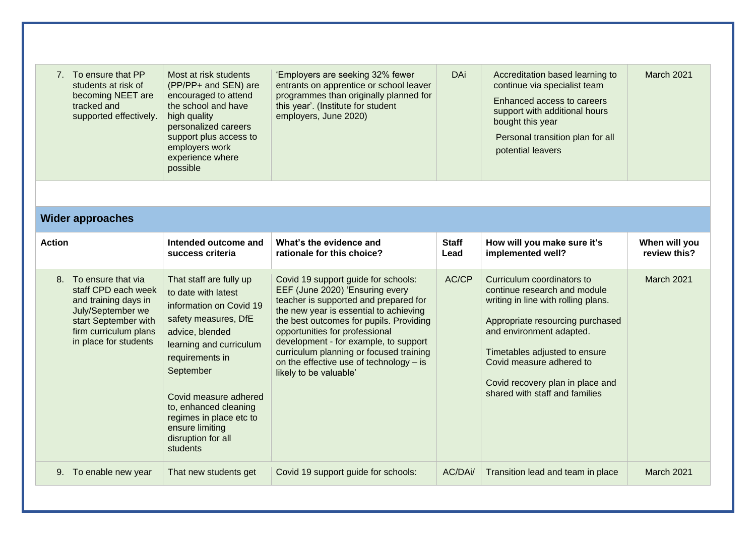|               | 7. To ensure that PP<br>students at risk of<br>becoming NEET are<br>tracked and<br>supported effectively.                                                           | Most at risk students<br>(PP/PP+ and SEN) are<br>encouraged to attend<br>the school and have<br>high quality<br>personalized careers<br>support plus access to<br>employers work<br>experience where<br>possible                                                                                                  | 'Employers are seeking 32% fewer<br>entrants on apprentice or school leaver<br>programmes than originally planned for<br>this year'. (Institute for student<br>employers, June 2020)                                                                                                                                                                                                            | <b>DAi</b>           | Accreditation based learning to<br>continue via specialist team<br>Enhanced access to careers<br>support with additional hours<br>bought this year<br>Personal transition plan for all<br>potential leavers                                                                                          | March 2021                    |
|---------------|---------------------------------------------------------------------------------------------------------------------------------------------------------------------|-------------------------------------------------------------------------------------------------------------------------------------------------------------------------------------------------------------------------------------------------------------------------------------------------------------------|-------------------------------------------------------------------------------------------------------------------------------------------------------------------------------------------------------------------------------------------------------------------------------------------------------------------------------------------------------------------------------------------------|----------------------|------------------------------------------------------------------------------------------------------------------------------------------------------------------------------------------------------------------------------------------------------------------------------------------------------|-------------------------------|
|               |                                                                                                                                                                     |                                                                                                                                                                                                                                                                                                                   |                                                                                                                                                                                                                                                                                                                                                                                                 |                      |                                                                                                                                                                                                                                                                                                      |                               |
|               | <b>Wider approaches</b>                                                                                                                                             |                                                                                                                                                                                                                                                                                                                   |                                                                                                                                                                                                                                                                                                                                                                                                 |                      |                                                                                                                                                                                                                                                                                                      |                               |
| <b>Action</b> |                                                                                                                                                                     | Intended outcome and<br>success criteria                                                                                                                                                                                                                                                                          | What's the evidence and<br>rationale for this choice?                                                                                                                                                                                                                                                                                                                                           | <b>Staff</b><br>Lead | How will you make sure it's<br>implemented well?                                                                                                                                                                                                                                                     | When will you<br>review this? |
|               | 8. To ensure that via<br>staff CPD each week<br>and training days in<br>July/September we<br>start September with<br>firm curriculum plans<br>in place for students | That staff are fully up<br>to date with latest<br>information on Covid 19<br>safety measures, DfE<br>advice, blended<br>learning and curriculum<br>requirements in<br>September<br>Covid measure adhered<br>to, enhanced cleaning<br>regimes in place etc to<br>ensure limiting<br>disruption for all<br>students | Covid 19 support guide for schools:<br>EEF (June 2020) 'Ensuring every<br>teacher is supported and prepared for<br>the new year is essential to achieving<br>the best outcomes for pupils. Providing<br>opportunities for professional<br>development - for example, to support<br>curriculum planning or focused training<br>on the effective use of technology - is<br>likely to be valuable' | AC/CP                | Curriculum coordinators to<br>continue research and module<br>writing in line with rolling plans.<br>Appropriate resourcing purchased<br>and environment adapted.<br>Timetables adjusted to ensure<br>Covid measure adhered to<br>Covid recovery plan in place and<br>shared with staff and families | <b>March 2021</b>             |
|               | 9. To enable new year                                                                                                                                               | That new students get                                                                                                                                                                                                                                                                                             | Covid 19 support guide for schools:                                                                                                                                                                                                                                                                                                                                                             | AC/DAi/              | Transition lead and team in place                                                                                                                                                                                                                                                                    | March 2021                    |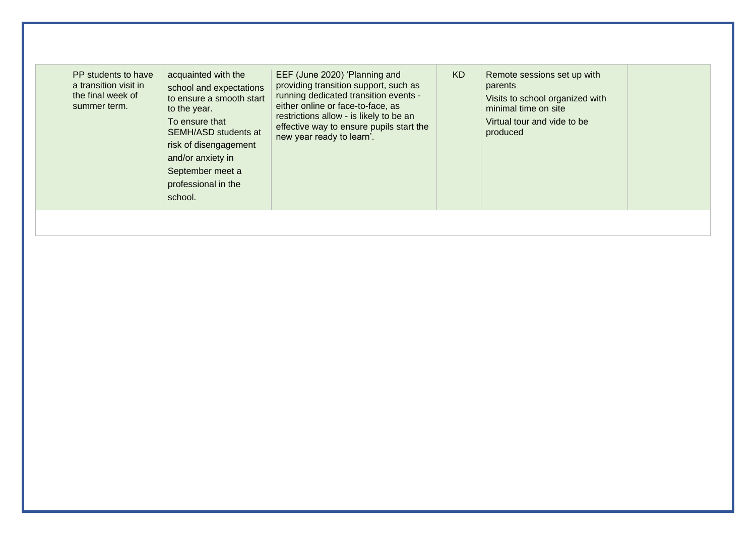| PP students to have<br>a transition visit in<br>the final week of<br>summer term. | acquainted with the<br>school and expectations<br>to ensure a smooth start<br>to the year.<br>To ensure that<br>SEMH/ASD students at<br>risk of disengagement<br>and/or anxiety in<br>September meet a<br>professional in the<br>school. | EEF (June 2020) 'Planning and<br>providing transition support, such as<br>running dedicated transition events -<br>either online or face-to-face, as<br>restrictions allow - is likely to be an<br>effective way to ensure pupils start the<br>new year ready to learn'. | KD. | Remote sessions set up with<br>parents<br>Visits to school organized with<br>minimal time on site<br>Virtual tour and vide to be<br>produced |  |
|-----------------------------------------------------------------------------------|------------------------------------------------------------------------------------------------------------------------------------------------------------------------------------------------------------------------------------------|--------------------------------------------------------------------------------------------------------------------------------------------------------------------------------------------------------------------------------------------------------------------------|-----|----------------------------------------------------------------------------------------------------------------------------------------------|--|
|-----------------------------------------------------------------------------------|------------------------------------------------------------------------------------------------------------------------------------------------------------------------------------------------------------------------------------------|--------------------------------------------------------------------------------------------------------------------------------------------------------------------------------------------------------------------------------------------------------------------------|-----|----------------------------------------------------------------------------------------------------------------------------------------------|--|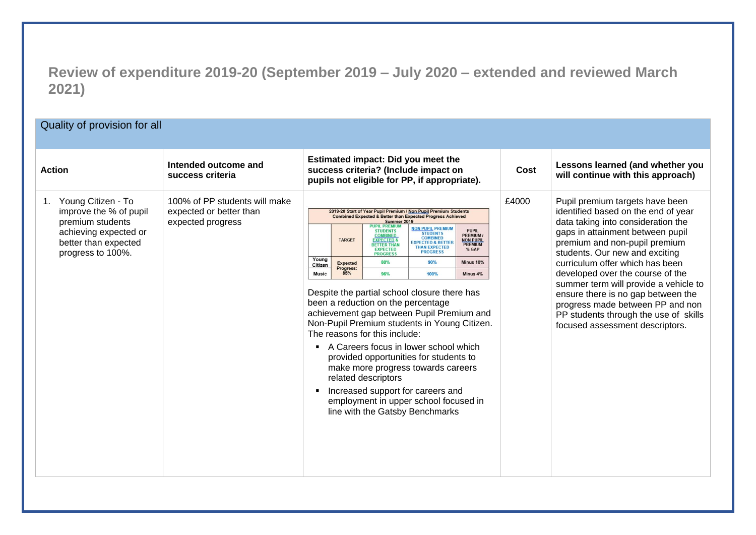### **Review of expenditure 2019-20 (September 2019 – July 2020 – extended and reviewed March 2021)**

### Quality of provision for all

| <b>Action</b>                                                                                                                                | Intended outcome and<br>success criteria                                      | Estimated impact: Did you meet the<br>success criteria? (Include impact on<br>pupils not eligible for PP, if appropriate).                                                                                                                                                                                                                                                                                                                                                                                                                                                                                                                                                                                                                                                                                                                                                                                                                                                                                                                                                                                                        | Cost  | Lessons learned (and whether you<br>will continue with this approach)                                                                                                                                                                                                                                                                                                                                                                                                                     |
|----------------------------------------------------------------------------------------------------------------------------------------------|-------------------------------------------------------------------------------|-----------------------------------------------------------------------------------------------------------------------------------------------------------------------------------------------------------------------------------------------------------------------------------------------------------------------------------------------------------------------------------------------------------------------------------------------------------------------------------------------------------------------------------------------------------------------------------------------------------------------------------------------------------------------------------------------------------------------------------------------------------------------------------------------------------------------------------------------------------------------------------------------------------------------------------------------------------------------------------------------------------------------------------------------------------------------------------------------------------------------------------|-------|-------------------------------------------------------------------------------------------------------------------------------------------------------------------------------------------------------------------------------------------------------------------------------------------------------------------------------------------------------------------------------------------------------------------------------------------------------------------------------------------|
| Young Citizen - To<br>1.<br>improve the % of pupil<br>premium students<br>achieving expected or<br>better than expected<br>progress to 100%. | 100% of PP students will make<br>expected or better than<br>expected progress | 2019-20 Start of Year Pupil Premium / Non Pupil Premium Students<br><b>Combined Expected &amp; Better than Expected Progress Achieved</b><br>Summer 2019<br><b>NON PUPIL PREMIUM</b><br><b>PUPIL</b><br><b>STUDENTS</b><br><b>STUDENTS</b><br><b>PREMIUM</b><br><b>COMBINED</b><br><b>TARGET</b><br><b>NON PUPIL</b><br><b>EXPECTED 8</b><br><b>EXPECTED &amp; BETTER</b><br><b>PREMIUM</b><br><b>BETTER THAN</b><br><b>THAN EXPECTED</b><br>% GAP<br><b>EXPECTED</b><br><b>PROGRESS</b><br><b>PROGRESS</b><br>Young<br>80%<br>90%<br>Minus 10%<br><b>Expected</b><br>Citizen<br>Progress:<br>85%<br><b>Music</b><br>96%<br>100%<br>Minus 4%<br>Despite the partial school closure there has<br>been a reduction on the percentage<br>achievement gap between Pupil Premium and<br>Non-Pupil Premium students in Young Citizen.<br>The reasons for this include:<br>A Careers focus in lower school which<br>provided opportunities for students to<br>make more progress towards careers<br>related descriptors<br>Increased support for careers and<br>employment in upper school focused in<br>line with the Gatsby Benchmarks | £4000 | Pupil premium targets have been<br>identified based on the end of year<br>data taking into consideration the<br>gaps in attainment between pupil<br>premium and non-pupil premium<br>students. Our new and exciting<br>curriculum offer which has been<br>developed over the course of the<br>summer term will provide a vehicle to<br>ensure there is no gap between the<br>progress made between PP and non<br>PP students through the use of skills<br>focused assessment descriptors. |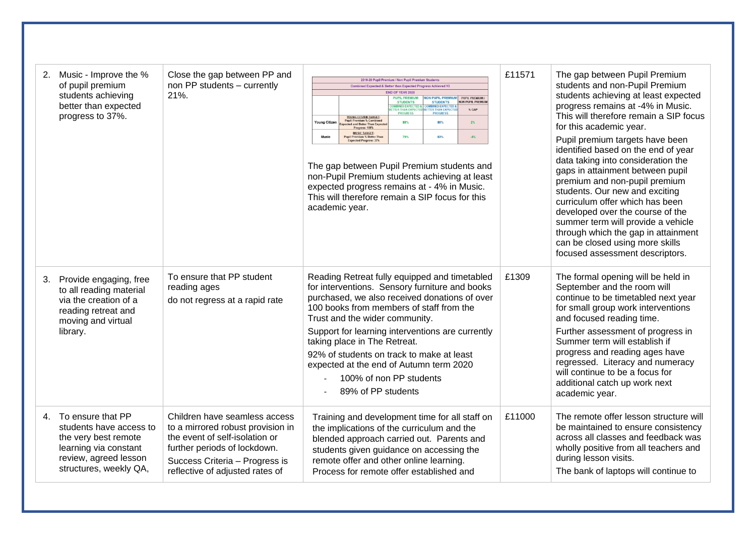| Music - Improve the %<br>2.<br>of pupil premium<br>students achieving<br>better than expected<br>progress to 37%.                                   | Close the gap between PP and<br>non PP students - currently<br>21%.                                                                                                                                       | 2019-20 Pupil Premium / Non Pupil Premium Students<br>Combined Expected & Better than Expected Progress Achieved V3<br>END OF YEAR 2020<br><b>PUPIL PREMIUM</b><br>ON PUPIL PREMIUM<br>PUPIL PREMIUM /<br>NON PUPIL PREMIUM<br><b>STUDENTS</b><br>STUDENTS<br>INED EXPECTED<br><b>BINED EXPECTED J</b><br><b>TER THAN EXPER</b><br>TER THAN EXPECT<br>% GAP<br><b>ROGRESS</b><br><b>ROGRESS</b><br>YOUNG CITIZEN TARGET<br><b>Pupil Premium % Combined</b><br>Young Citizen<br>86%<br>$2\%$<br>88%<br>xpected and Better Than Expecte<br>Progress: 100%<br><b>MUSIC TARGET:</b><br>79%<br>83%<br>$-4\%$<br>Music<br>upil Premium % Better Than<br>Togress: 37%<br>The gap between Pupil Premium students and<br>non-Pupil Premium students achieving at least<br>expected progress remains at - 4% in Music.<br>This will therefore remain a SIP focus for this<br>academic year. | £11571 | The gap between Pupil Premium<br>students and non-Pupil Premium<br>students achieving at least expected<br>progress remains at -4% in Music.<br>This will therefore remain a SIP focus<br>for this academic year.<br>Pupil premium targets have been<br>identified based on the end of year<br>data taking into consideration the<br>gaps in attainment between pupil<br>premium and non-pupil premium<br>students. Our new and exciting<br>curriculum offer which has been<br>developed over the course of the<br>summer term will provide a vehicle<br>through which the gap in attainment<br>can be closed using more skills<br>focused assessment descriptors. |
|-----------------------------------------------------------------------------------------------------------------------------------------------------|-----------------------------------------------------------------------------------------------------------------------------------------------------------------------------------------------------------|-----------------------------------------------------------------------------------------------------------------------------------------------------------------------------------------------------------------------------------------------------------------------------------------------------------------------------------------------------------------------------------------------------------------------------------------------------------------------------------------------------------------------------------------------------------------------------------------------------------------------------------------------------------------------------------------------------------------------------------------------------------------------------------------------------------------------------------------------------------------------------------|--------|--------------------------------------------------------------------------------------------------------------------------------------------------------------------------------------------------------------------------------------------------------------------------------------------------------------------------------------------------------------------------------------------------------------------------------------------------------------------------------------------------------------------------------------------------------------------------------------------------------------------------------------------------------------------|
| 3.<br>Provide engaging, free<br>to all reading material<br>via the creation of a<br>reading retreat and<br>moving and virtual<br>library.           | To ensure that PP student<br>reading ages<br>do not regress at a rapid rate                                                                                                                               | Reading Retreat fully equipped and timetabled<br>for interventions. Sensory furniture and books<br>purchased, we also received donations of over<br>100 books from members of staff from the<br>Trust and the wider community.<br>Support for learning interventions are currently<br>taking place in The Retreat.<br>92% of students on track to make at least<br>expected at the end of Autumn term 2020<br>100% of non PP students<br>89% of PP students                                                                                                                                                                                                                                                                                                                                                                                                                       | £1309  | The formal opening will be held in<br>September and the room will<br>continue to be timetabled next year<br>for small group work interventions<br>and focused reading time.<br>Further assessment of progress in<br>Summer term will establish if<br>progress and reading ages have<br>regressed. Literacy and numeracy<br>will continue to be a focus for<br>additional catch up work next<br>academic year.                                                                                                                                                                                                                                                      |
| 4. To ensure that PP<br>students have access to<br>the very best remote<br>learning via constant<br>review, agreed lesson<br>structures, weekly QA, | Children have seamless access<br>to a mirrored robust provision in<br>the event of self-isolation or<br>further periods of lockdown.<br>Success Criteria - Progress is<br>reflective of adjusted rates of | Training and development time for all staff on<br>the implications of the curriculum and the<br>blended approach carried out. Parents and<br>students given guidance on accessing the<br>remote offer and other online learning.<br>Process for remote offer established and                                                                                                                                                                                                                                                                                                                                                                                                                                                                                                                                                                                                      | £11000 | The remote offer lesson structure will<br>be maintained to ensure consistency<br>across all classes and feedback was<br>wholly positive from all teachers and<br>during lesson visits.<br>The bank of laptops will continue to                                                                                                                                                                                                                                                                                                                                                                                                                                     |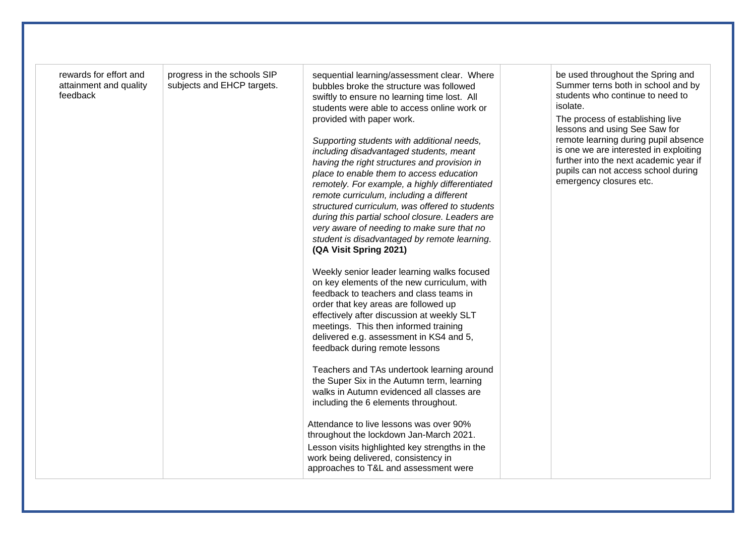| rewards for effort and<br>attainment and quality<br>feedback | progress in the schools SIP<br>subjects and EHCP targets. | sequential learning/assessment clear. Where<br>bubbles broke the structure was followed<br>swiftly to ensure no learning time lost. All<br>students were able to access online work or<br>provided with paper work.<br>Supporting students with additional needs,<br>including disadvantaged students, meant<br>having the right structures and provision in<br>place to enable them to access education<br>remotely. For example, a highly differentiated<br>remote curriculum, including a different<br>structured curriculum, was offered to students<br>during this partial school closure. Leaders are<br>very aware of needing to make sure that no<br>student is disadvantaged by remote learning.<br>(QA Visit Spring 2021)<br>Weekly senior leader learning walks focused<br>on key elements of the new curriculum, with<br>feedback to teachers and class teams in<br>order that key areas are followed up<br>effectively after discussion at weekly SLT<br>meetings. This then informed training<br>delivered e.g. assessment in KS4 and 5,<br>feedback during remote lessons<br>Teachers and TAs undertook learning around<br>the Super Six in the Autumn term, learning<br>walks in Autumn evidenced all classes are<br>including the 6 elements throughout.<br>Attendance to live lessons was over 90%<br>throughout the lockdown Jan-March 2021.<br>Lesson visits highlighted key strengths in the<br>work being delivered, consistency in<br>approaches to T&L and assessment were | be used throughout the Spring and<br>Summer terns both in school and by<br>students who continue to need to<br>isolate.<br>The process of establishing live<br>lessons and using See Saw for<br>remote learning during pupil absence<br>is one we are interested in exploiting<br>further into the next academic year if<br>pupils can not access school during<br>emergency closures etc. |
|--------------------------------------------------------------|-----------------------------------------------------------|----------------------------------------------------------------------------------------------------------------------------------------------------------------------------------------------------------------------------------------------------------------------------------------------------------------------------------------------------------------------------------------------------------------------------------------------------------------------------------------------------------------------------------------------------------------------------------------------------------------------------------------------------------------------------------------------------------------------------------------------------------------------------------------------------------------------------------------------------------------------------------------------------------------------------------------------------------------------------------------------------------------------------------------------------------------------------------------------------------------------------------------------------------------------------------------------------------------------------------------------------------------------------------------------------------------------------------------------------------------------------------------------------------------------------------------------------------------------------------------------------|--------------------------------------------------------------------------------------------------------------------------------------------------------------------------------------------------------------------------------------------------------------------------------------------------------------------------------------------------------------------------------------------|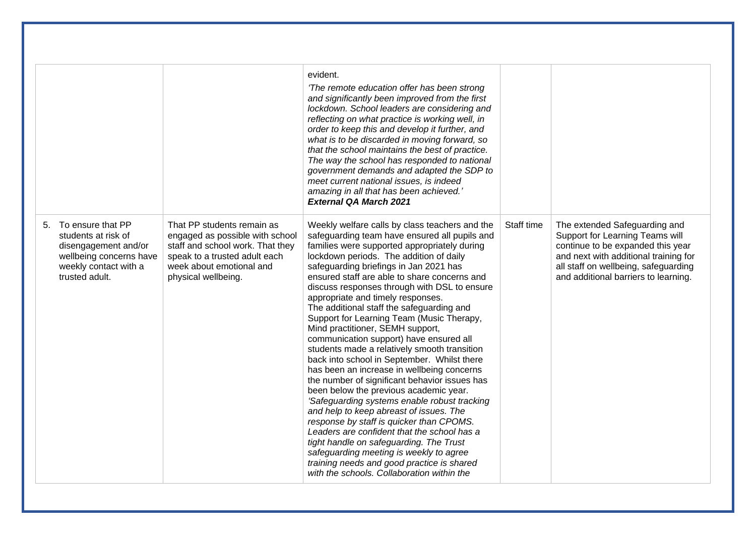|                                                                                                                                           |                                                                                                                                                                                       | evident.<br>'The remote education offer has been strong<br>and significantly been improved from the first<br>lockdown. School leaders are considering and<br>reflecting on what practice is working well, in<br>order to keep this and develop it further, and<br>what is to be discarded in moving forward, so<br>that the school maintains the best of practice.<br>The way the school has responded to national<br>government demands and adapted the SDP to<br>meet current national issues, is indeed<br>amazing in all that has been achieved.'<br><b>External QA March 2021</b>                                                                                                                                                                                                                                                                                                                                                                                                                                                                                                                                                                             |            |                                                                                                                                                                                                                                |
|-------------------------------------------------------------------------------------------------------------------------------------------|---------------------------------------------------------------------------------------------------------------------------------------------------------------------------------------|--------------------------------------------------------------------------------------------------------------------------------------------------------------------------------------------------------------------------------------------------------------------------------------------------------------------------------------------------------------------------------------------------------------------------------------------------------------------------------------------------------------------------------------------------------------------------------------------------------------------------------------------------------------------------------------------------------------------------------------------------------------------------------------------------------------------------------------------------------------------------------------------------------------------------------------------------------------------------------------------------------------------------------------------------------------------------------------------------------------------------------------------------------------------|------------|--------------------------------------------------------------------------------------------------------------------------------------------------------------------------------------------------------------------------------|
| 5. To ensure that PP<br>students at risk of<br>disengagement and/or<br>wellbeing concerns have<br>weekly contact with a<br>trusted adult. | That PP students remain as<br>engaged as possible with school<br>staff and school work. That they<br>speak to a trusted adult each<br>week about emotional and<br>physical wellbeing. | Weekly welfare calls by class teachers and the<br>safeguarding team have ensured all pupils and<br>families were supported appropriately during<br>lockdown periods. The addition of daily<br>safeguarding briefings in Jan 2021 has<br>ensured staff are able to share concerns and<br>discuss responses through with DSL to ensure<br>appropriate and timely responses.<br>The additional staff the safeguarding and<br>Support for Learning Team (Music Therapy,<br>Mind practitioner, SEMH support,<br>communication support) have ensured all<br>students made a relatively smooth transition<br>back into school in September. Whilst there<br>has been an increase in wellbeing concerns<br>the number of significant behavior issues has<br>been below the previous academic year.<br>'Safeguarding systems enable robust tracking<br>and help to keep abreast of issues. The<br>response by staff is quicker than CPOMS.<br>Leaders are confident that the school has a<br>tight handle on safeguarding. The Trust<br>safeguarding meeting is weekly to agree<br>training needs and good practice is shared<br>with the schools. Collaboration within the | Staff time | The extended Safeguarding and<br>Support for Learning Teams will<br>continue to be expanded this year<br>and next with additional training for<br>all staff on wellbeing, safeguarding<br>and additional barriers to learning. |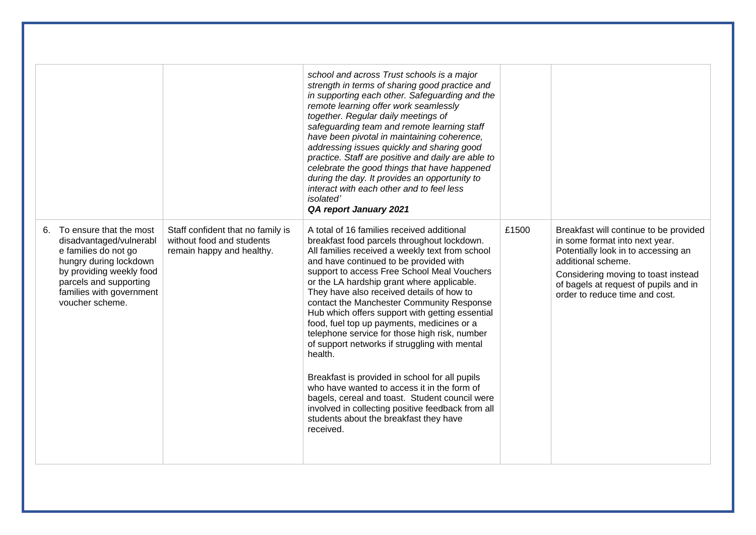|                                                                                                                                                                                                                 |                                                                                             | school and across Trust schools is a major<br>strength in terms of sharing good practice and<br>in supporting each other. Safeguarding and the<br>remote learning offer work seamlessly<br>together. Regular daily meetings of<br>safeguarding team and remote learning staff<br>have been pivotal in maintaining coherence,<br>addressing issues quickly and sharing good<br>practice. Staff are positive and daily are able to<br>celebrate the good things that have happened<br>during the day. It provides an opportunity to<br>interact with each other and to feel less<br><i>isolated</i> '<br>QA report January 2021                                                                                                                                                                                                                              |       |                                                                                                                                                                                                                                                         |
|-----------------------------------------------------------------------------------------------------------------------------------------------------------------------------------------------------------------|---------------------------------------------------------------------------------------------|------------------------------------------------------------------------------------------------------------------------------------------------------------------------------------------------------------------------------------------------------------------------------------------------------------------------------------------------------------------------------------------------------------------------------------------------------------------------------------------------------------------------------------------------------------------------------------------------------------------------------------------------------------------------------------------------------------------------------------------------------------------------------------------------------------------------------------------------------------|-------|---------------------------------------------------------------------------------------------------------------------------------------------------------------------------------------------------------------------------------------------------------|
| To ensure that the most<br>6.<br>disadvantaged/vulnerabl<br>e families do not go<br>hungry during lockdown<br>by providing weekly food<br>parcels and supporting<br>families with government<br>voucher scheme. | Staff confident that no family is<br>without food and students<br>remain happy and healthy. | A total of 16 families received additional<br>breakfast food parcels throughout lockdown.<br>All families received a weekly text from school<br>and have continued to be provided with<br>support to access Free School Meal Vouchers<br>or the LA hardship grant where applicable.<br>They have also received details of how to<br>contact the Manchester Community Response<br>Hub which offers support with getting essential<br>food, fuel top up payments, medicines or a<br>telephone service for those high risk, number<br>of support networks if struggling with mental<br>health.<br>Breakfast is provided in school for all pupils<br>who have wanted to access it in the form of<br>bagels, cereal and toast. Student council were<br>involved in collecting positive feedback from all<br>students about the breakfast they have<br>received. | £1500 | Breakfast will continue to be provided<br>in some format into next year.<br>Potentially look in to accessing an<br>additional scheme.<br>Considering moving to toast instead<br>of bagels at request of pupils and in<br>order to reduce time and cost. |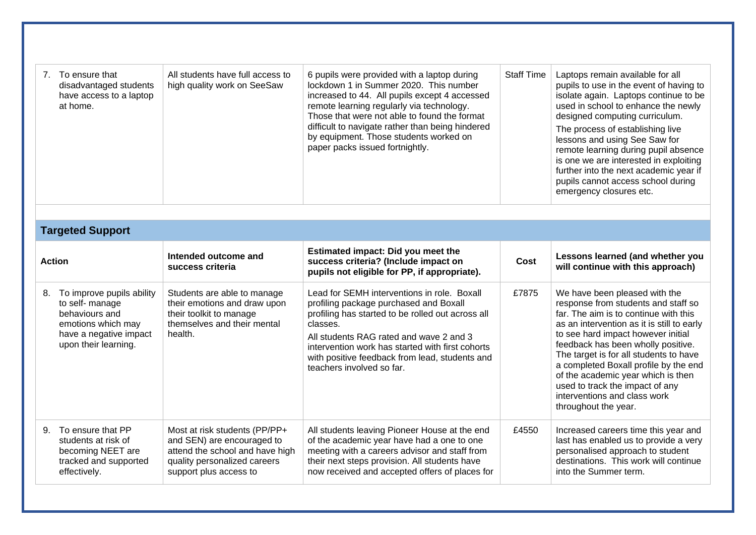| 7. To ensure that<br>disadvantaged students<br>have access to a laptop<br>at home.                                                        | All students have full access to<br>high quality work on SeeSaw                                                                                          | 6 pupils were provided with a laptop during<br>lockdown 1 in Summer 2020. This number<br>increased to 44. All pupils except 4 accessed<br>remote learning regularly via technology.<br>Those that were not able to found the format<br>difficult to navigate rather than being hindered<br>by equipment. Those students worked on<br>paper packs issued fortnightly. | <b>Staff Time</b> | Laptops remain available for all<br>pupils to use in the event of having to<br>isolate again. Laptops continue to be<br>used in school to enhance the newly<br>designed computing curriculum.<br>The process of establishing live<br>lessons and using See Saw for<br>remote learning during pupil absence<br>is one we are interested in exploiting<br>further into the next academic year if<br>pupils cannot access school during<br>emergency closures etc. |
|-------------------------------------------------------------------------------------------------------------------------------------------|----------------------------------------------------------------------------------------------------------------------------------------------------------|----------------------------------------------------------------------------------------------------------------------------------------------------------------------------------------------------------------------------------------------------------------------------------------------------------------------------------------------------------------------|-------------------|-----------------------------------------------------------------------------------------------------------------------------------------------------------------------------------------------------------------------------------------------------------------------------------------------------------------------------------------------------------------------------------------------------------------------------------------------------------------|
|                                                                                                                                           |                                                                                                                                                          |                                                                                                                                                                                                                                                                                                                                                                      |                   |                                                                                                                                                                                                                                                                                                                                                                                                                                                                 |
| <b>Targeted Support</b>                                                                                                                   |                                                                                                                                                          |                                                                                                                                                                                                                                                                                                                                                                      |                   |                                                                                                                                                                                                                                                                                                                                                                                                                                                                 |
| <b>Action</b>                                                                                                                             | Intended outcome and<br>success criteria                                                                                                                 | Estimated impact: Did you meet the<br>success criteria? (Include impact on<br>pupils not eligible for PP, if appropriate).                                                                                                                                                                                                                                           | Cost              | Lessons learned (and whether you<br>will continue with this approach)                                                                                                                                                                                                                                                                                                                                                                                           |
| 8. To improve pupils ability<br>to self- manage<br>behaviours and<br>emotions which may<br>have a negative impact<br>upon their learning. | Students are able to manage<br>their emotions and draw upon<br>their toolkit to manage<br>themselves and their mental<br>health.                         | Lead for SEMH interventions in role. Boxall<br>profiling package purchased and Boxall<br>profiling has started to be rolled out across all<br>classes.<br>All students RAG rated and wave 2 and 3<br>intervention work has started with first cohorts<br>with positive feedback from lead, students and<br>teachers involved so far.                                 | £7875             | We have been pleased with the<br>response from students and staff so<br>far. The aim is to continue with this<br>as an intervention as it is still to early<br>to see hard impact however initial<br>feedback has been wholly positive.<br>The target is for all students to have<br>a completed Boxall profile by the end<br>of the academic year which is then<br>used to track the impact of any<br>interventions and class work<br>throughout the year.     |
| 9. To ensure that PP<br>students at risk of<br>becoming NEET are<br>tracked and supported<br>effectively.                                 | Most at risk students (PP/PP+<br>and SEN) are encouraged to<br>attend the school and have high<br>quality personalized careers<br>support plus access to | All students leaving Pioneer House at the end<br>of the academic year have had a one to one<br>meeting with a careers advisor and staff from<br>their next steps provision. All students have<br>now received and accepted offers of places for                                                                                                                      | £4550             | Increased careers time this year and<br>last has enabled us to provide a very<br>personalised approach to student<br>destinations. This work will continue<br>into the Summer term.                                                                                                                                                                                                                                                                             |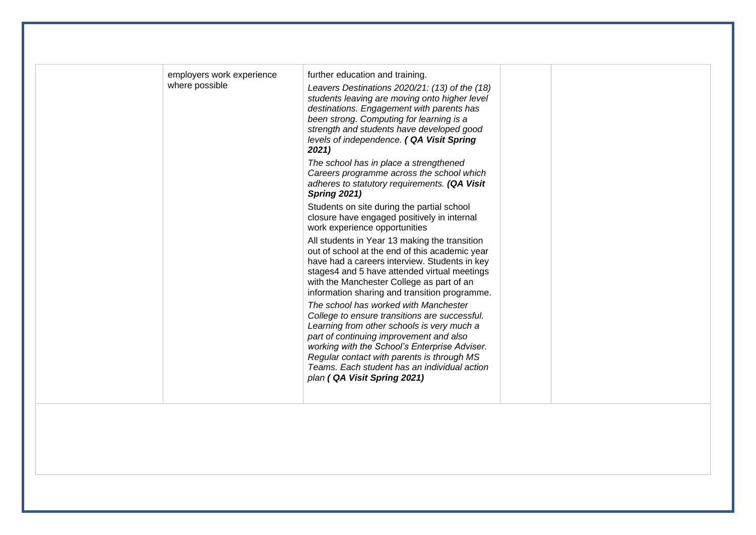| employers work experience<br>where possible | further education and training.<br>Leavers Destinations 2020/21: (13) of the (18)<br>students leaving are moving onto higher level<br>destinations. Engagement with parents has<br>been strong. Computing for learning is a<br>strength and students have developed good<br>levels of independence. ( QA Visit Spring<br>2021)                                |  |
|---------------------------------------------|---------------------------------------------------------------------------------------------------------------------------------------------------------------------------------------------------------------------------------------------------------------------------------------------------------------------------------------------------------------|--|
|                                             | The school has in place a strengthened<br>Careers programme across the school which<br>adheres to statutory requirements. (QA Visit<br><b>Spring 2021)</b>                                                                                                                                                                                                    |  |
|                                             | Students on site during the partial school<br>closure have engaged positively in internal<br>work experience opportunities                                                                                                                                                                                                                                    |  |
|                                             | All students in Year 13 making the transition<br>out of school at the end of this academic year<br>have had a careers interview. Students in key<br>stages4 and 5 have attended virtual meetings<br>with the Manchester College as part of an<br>information sharing and transition programme.                                                                |  |
|                                             | The school has worked with Manchester<br>College to ensure transitions are successful.<br>Learning from other schools is very much a<br>part of continuing improvement and also<br>working with the School's Enterprise Adviser.<br>Regular contact with parents is through MS<br>Teams. Each student has an individual action<br>plan (QA Visit Spring 2021) |  |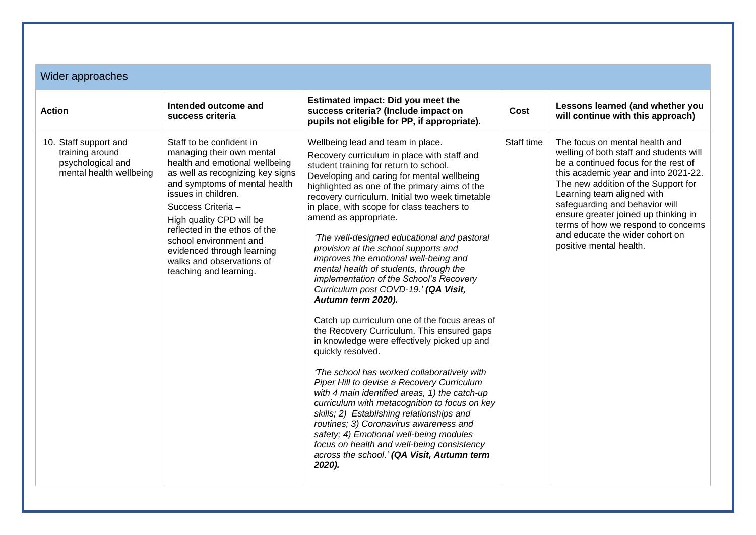| Wider approaches                                                                         |                                                                                                                                                                                                                                                                                                                                                                                       |                                                                                                                                                                                                                                                                                                                                                                                                                                                                                                                                                                                                                                                                                         |  |  |  |
|------------------------------------------------------------------------------------------|---------------------------------------------------------------------------------------------------------------------------------------------------------------------------------------------------------------------------------------------------------------------------------------------------------------------------------------------------------------------------------------|-----------------------------------------------------------------------------------------------------------------------------------------------------------------------------------------------------------------------------------------------------------------------------------------------------------------------------------------------------------------------------------------------------------------------------------------------------------------------------------------------------------------------------------------------------------------------------------------------------------------------------------------------------------------------------------------|--|--|--|
| <b>Action</b>                                                                            | Intended outcome and<br>success criteria                                                                                                                                                                                                                                                                                                                                              | Estimated impact: Did you meet the<br>success criteria? (Include impact on<br>pupils not eligible for PP, if appropriate).                                                                                                                                                                                                                                                                                                                                                                                                                                                                                                                                                              |  |  |  |
| 10. Staff support and<br>training around<br>psychological and<br>mental health wellbeing | Staff to be confident in<br>managing their own mental<br>health and emotional wellbeing<br>as well as recognizing key signs<br>and symptoms of mental health<br>issues in children.<br>Success Criteria -<br>High quality CPD will be<br>reflected in the ethos of the<br>school environment and<br>evidenced through learning<br>walks and observations of<br>teaching and learning. | Wellbeing lead and team in place.<br>Recovery curriculum in place with staff and<br>student training for return to school.<br>Developing and caring for mental wellbeing<br>highlighted as one of the primary aims of the<br>recovery curriculum. Initial two week timetable<br>in place, with scope for class teachers to<br>amend as appropriate.<br>'The well-designed educational and pastoral<br>provision at the school supports and<br>improves the emotional well-being and<br>mental health of students, through the<br>implementation of the School's Recovery<br>Curriculum post COVD-19.' (QA Visit,<br>Autumn term 2020).<br>Catch up curriculum one of the focus areas of |  |  |  |

the Recovery Curriculum. This ensured gaps in knowledge were effectively picked up and quickly resolved. *'The school has worked collaboratively with Piper Hill to devise a Recovery Curriculum with 4 main identified areas, 1) the catch-up curriculum with metacognition to focus on key*  **Cost Lessons learned (and whether you** 

Learning team aligned with safeguarding and behavior will ensure greater joined up thinking in terms of how we respond to concerns and educate the wider cohort on

positive mental health.

Staff time  $\Box$  The focus on mental health and

**will continue with this approach)**

welling of both staff and students will be a continued focus for the rest of this academic year and into 2021-22. The new addition of the Support for

*skills; 2) Establishing relationships and routines; 3) Coronavirus awareness and safety; 4) Emotional well-being modules focus on health and well-being consistency across the school.' (QA Visit, Autumn term 2020).*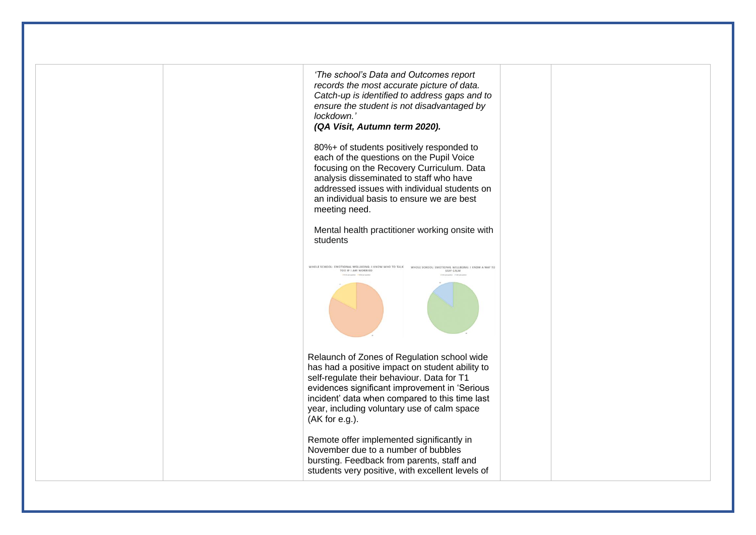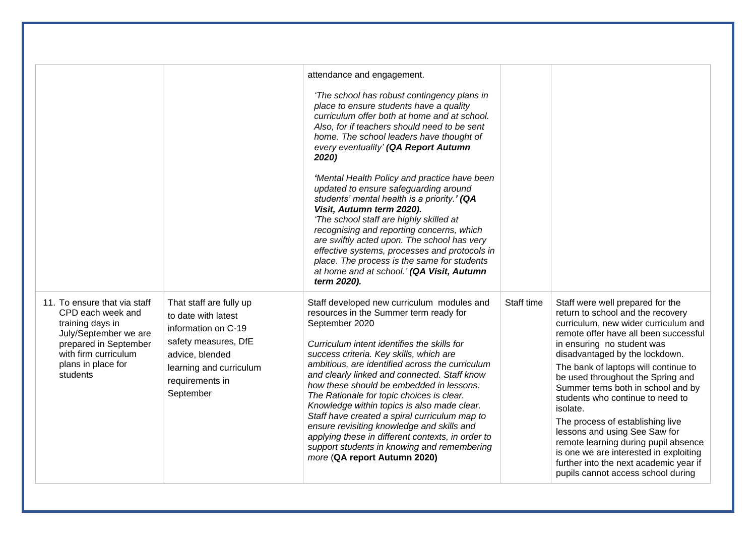|                                                                                                                                                                                   |                                                                                                                                                                             | attendance and engagement.<br>'The school has robust contingency plans in<br>place to ensure students have a quality<br>curriculum offer both at home and at school.<br>Also, for if teachers should need to be sent<br>home. The school leaders have thought of<br>every eventuality' (QA Report Autumn<br>2020)<br>'Mental Health Policy and practice have been<br>updated to ensure safeguarding around<br>students' mental health is a priority.' (QA<br>Visit, Autumn term 2020).<br>'The school staff are highly skilled at<br>recognising and reporting concerns, which<br>are swiftly acted upon. The school has very<br>effective systems, processes and protocols in<br>place. The process is the same for students<br>at home and at school.' (QA Visit, Autumn<br>term 2020). |            |                                                                                                                                                                                                                                                                                                                                                                                                                                                                                                                                                                                                                                  |
|-----------------------------------------------------------------------------------------------------------------------------------------------------------------------------------|-----------------------------------------------------------------------------------------------------------------------------------------------------------------------------|-------------------------------------------------------------------------------------------------------------------------------------------------------------------------------------------------------------------------------------------------------------------------------------------------------------------------------------------------------------------------------------------------------------------------------------------------------------------------------------------------------------------------------------------------------------------------------------------------------------------------------------------------------------------------------------------------------------------------------------------------------------------------------------------|------------|----------------------------------------------------------------------------------------------------------------------------------------------------------------------------------------------------------------------------------------------------------------------------------------------------------------------------------------------------------------------------------------------------------------------------------------------------------------------------------------------------------------------------------------------------------------------------------------------------------------------------------|
| 11. To ensure that via staff<br>CPD each week and<br>training days in<br>July/September we are<br>prepared in September<br>with firm curriculum<br>plans in place for<br>students | That staff are fully up<br>to date with latest<br>information on C-19<br>safety measures, DfE<br>advice, blended<br>learning and curriculum<br>requirements in<br>September | Staff developed new curriculum modules and<br>resources in the Summer term ready for<br>September 2020<br>Curriculum intent identifies the skills for<br>success criteria. Key skills, which are<br>ambitious, are identified across the curriculum<br>and clearly linked and connected. Staff know<br>how these should be embedded in lessons.<br>The Rationale for topic choices is clear.<br>Knowledge within topics is also made clear.<br>Staff have created a spiral curriculum map to<br>ensure revisiting knowledge and skills and<br>applying these in different contexts, in order to<br>support students in knowing and remembering<br>more (QA report Autumn 2020)                                                                                                            | Staff time | Staff were well prepared for the<br>return to school and the recovery<br>curriculum, new wider curriculum and<br>remote offer have all been successful<br>in ensuring no student was<br>disadvantaged by the lockdown.<br>The bank of laptops will continue to<br>be used throughout the Spring and<br>Summer terns both in school and by<br>students who continue to need to<br>isolate.<br>The process of establishing live<br>lessons and using See Saw for<br>remote learning during pupil absence<br>is one we are interested in exploiting<br>further into the next academic year if<br>pupils cannot access school during |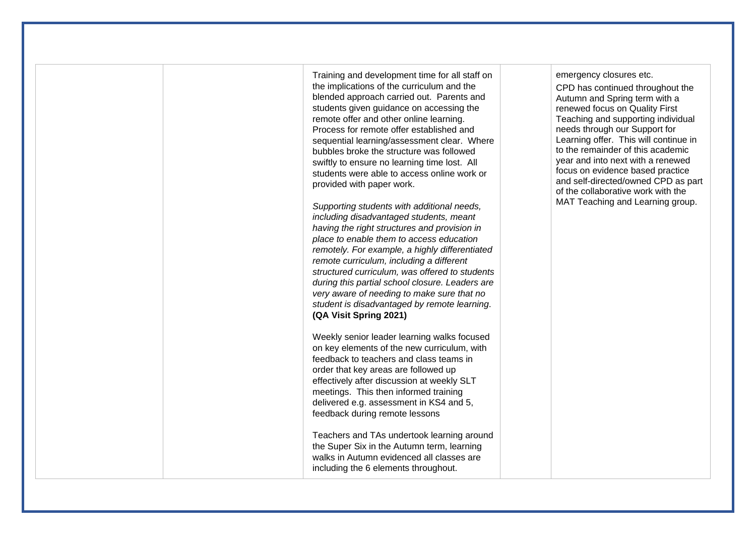Training and development time for all staff on the implications of the curriculum and the blended approach carried out. Parents and students given guidance on accessing the remote offer and other online learning. Process for remote offer established and sequential learning/assessment clear. Where bubbles broke the structure was followed swiftly to ensure no learning time lost. All students were able to access online work or provided with paper work.

*Supporting students with additional needs, including disadvantaged students, meant having the right structures and provision in place to enable them to access education remotely. For example, a highly differentiated remote curriculum, including a different structured curriculum, was offered to students during this partial school closure. Leaders are very aware of needing to make sure that no student is disadvantaged by remote learning*. **(QA Visit Spring 2021)**

Weekly senior leader learning walks focused on key elements of the new curriculum, with feedback to teachers and class teams in order that key areas are followed up effectively after discussion at weekly SLT meetings. This then informed training delivered e.g. assessment in KS4 and 5, feedback during remote lessons

Teachers and TAs undertook learning around the Super Six in the Autumn term, learning walks in Autumn evidenced all classes are including the 6 elements throughout.

emergency closures etc.

CPD has continued throughout the Autumn and Spring term with a renewed focus on Quality First Teaching and supporting individual needs through our Support for Learning offer. This will continue in to the remainder of this academic year and into next with a renewed focus on evidence based practice and self-directed/owned CPD as part of the collaborative work with the MAT Teaching and Learning group.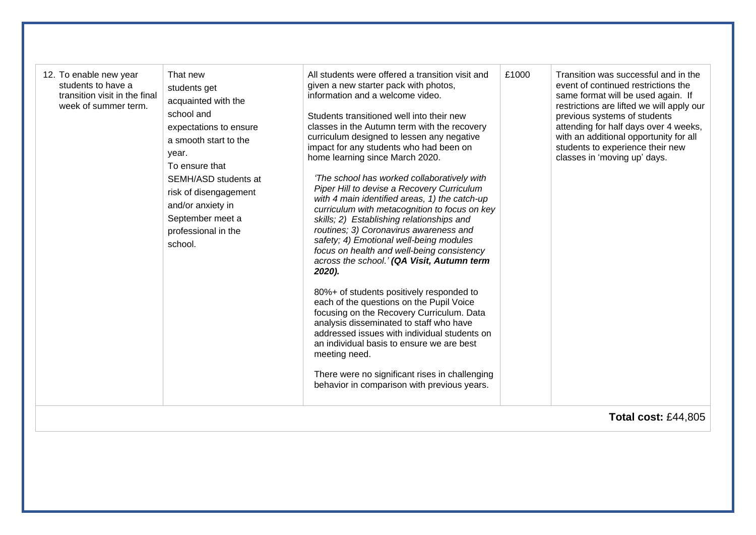|  | 12. To enable new year<br>students to have a<br>transition visit in the final<br>week of summer term. | That new<br>students get<br>acquainted with the<br>school and<br>expectations to ensure<br>a smooth start to the<br>year.<br>To ensure that<br>SEMH/ASD students at<br>risk of disengagement<br>and/or anxiety in<br>September meet a<br>professional in the<br>school. | All students were offered a transition visit and<br>given a new starter pack with photos,<br>information and a welcome video.<br>Students transitioned well into their new<br>classes in the Autumn term with the recovery<br>curriculum designed to lessen any negative<br>impact for any students who had been on<br>home learning since March 2020.<br>'The school has worked collaboratively with<br>Piper Hill to devise a Recovery Curriculum<br>with 4 main identified areas, 1) the catch-up<br>curriculum with metacognition to focus on key<br>skills; 2) Establishing relationships and<br>routines; 3) Coronavirus awareness and<br>safety; 4) Emotional well-being modules<br>focus on health and well-being consistency<br>across the school.' (QA Visit, Autumn term<br>2020).<br>80%+ of students positively responded to<br>each of the questions on the Pupil Voice<br>focusing on the Recovery Curriculum. Data<br>analysis disseminated to staff who have<br>addressed issues with individual students on<br>an individual basis to ensure we are best<br>meeting need.<br>There were no significant rises in challenging<br>behavior in comparison with previous years. | £1000 | Transition was successful and in the<br>event of continued restrictions the<br>same format will be used again. If<br>restrictions are lifted we will apply our<br>previous systems of students<br>attending for half days over 4 weeks,<br>with an additional opportunity for all<br>students to experience their new<br>classes in 'moving up' days.<br><b>Total cost: £44,805</b> |
|--|-------------------------------------------------------------------------------------------------------|-------------------------------------------------------------------------------------------------------------------------------------------------------------------------------------------------------------------------------------------------------------------------|----------------------------------------------------------------------------------------------------------------------------------------------------------------------------------------------------------------------------------------------------------------------------------------------------------------------------------------------------------------------------------------------------------------------------------------------------------------------------------------------------------------------------------------------------------------------------------------------------------------------------------------------------------------------------------------------------------------------------------------------------------------------------------------------------------------------------------------------------------------------------------------------------------------------------------------------------------------------------------------------------------------------------------------------------------------------------------------------------------------------------------------------------------------------------------------------|-------|-------------------------------------------------------------------------------------------------------------------------------------------------------------------------------------------------------------------------------------------------------------------------------------------------------------------------------------------------------------------------------------|
|--|-------------------------------------------------------------------------------------------------------|-------------------------------------------------------------------------------------------------------------------------------------------------------------------------------------------------------------------------------------------------------------------------|----------------------------------------------------------------------------------------------------------------------------------------------------------------------------------------------------------------------------------------------------------------------------------------------------------------------------------------------------------------------------------------------------------------------------------------------------------------------------------------------------------------------------------------------------------------------------------------------------------------------------------------------------------------------------------------------------------------------------------------------------------------------------------------------------------------------------------------------------------------------------------------------------------------------------------------------------------------------------------------------------------------------------------------------------------------------------------------------------------------------------------------------------------------------------------------------|-------|-------------------------------------------------------------------------------------------------------------------------------------------------------------------------------------------------------------------------------------------------------------------------------------------------------------------------------------------------------------------------------------|